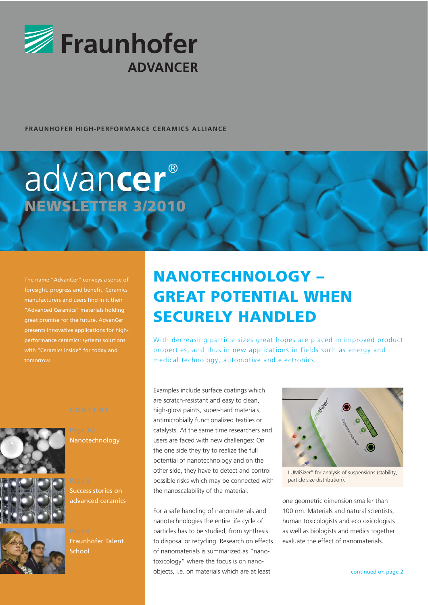

#### **FRAUNHOFER HIGH-PERFORMANCE CERAMICS ALLIANCE**

# NEWSLETTER 3/2010 advan**cer** ®

The name "AdvanCer" conveys a sense of foresight, progress and benefit. Ceramics "Advanced Ceramics" materials holding great promise for the future. AdvanCer presents innovative applications for highperformance ceramics: systems solutions with "Ceramics inside" for today and tomorrow.





Success stories on advanced ceramics

Nanotechnology





# NANOTECHNOLOGY – GREAT POTENTIAL WHEN SECURELY HANDLED

With decreasing particle sizes great hopes are placed in improved product properties, and thus in new applications in fields such as energy and medical technology, automotive and electronics.

Examples include surface coatings which are scratch-resistant and easy to clean, high-gloss paints, super-hard materials, antimicrobially functionalized textiles or catalysts. At the same time researchers and users are faced with new challenges: On the one side they try to realize the full potential of nanotechnology and on the other side, they have to detect and control possible risks which may be connected with the nanoscalability of the material.

For a safe handling of nanomaterials and nanotechnologies the entire life cycle of particles has to be studied, from synthesis to disposal or recycling. Research on effects of nanomaterials is summarized as "nanotoxicology" where the focus is on nanoobjects, i.e. on materials which are at least



LUMiSizer® for analysis of suspensions (stability, particle size distribution).

one geometric dimension smaller than 100 nm. Materials and natural scientists, human toxicologists and ecotoxicologists as well as biologists and medics together evaluate the effect of nanomaterials.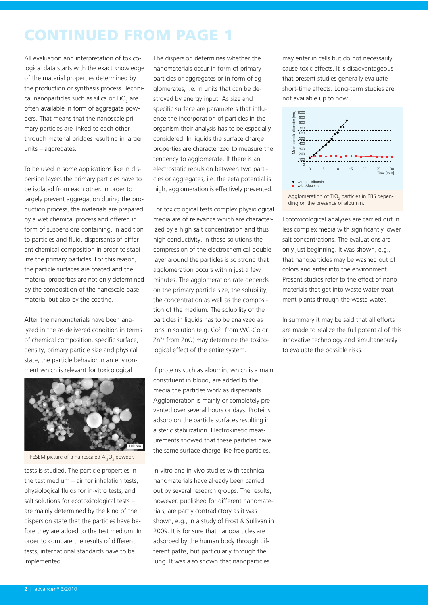# CONTINUED FROM PAGE 1

All evaluation and interpretation of toxicological data starts with the exact knowledge of the material properties determined by the production or synthesis process. Technical nanoparticles such as silica or TiO<sub>2</sub> are often available in form of aggregate powders. That means that the nanoscale primary particles are linked to each other through material bridges resulting in larger units – aggregates.

To be used in some applications like in dispersion layers the primary particles have to be isolated from each other. In order to largely prevent aggregation during the production process, the materials are prepared by a wet chemical process and offered in form of suspensions containing, in addition to particles and fluid, dispersants of different chemical composition in order to stabilize the primary particles. For this reason, the particle surfaces are coated and the material properties are not only determined by the composition of the nanoscale base material but also by the coating.

After the nanomaterials have been analyzed in the as-delivered condition in terms of chemical composition, specific surface, density, primary particle size and physical state, the particle behavior in an environment which is relevant for toxicological



FESEM picture of a nanoscaled  $AI<sub>2</sub>O<sub>3</sub>$  powder.

tests is studied. The particle properties in the test medium – air for inhalation tests, physiological fluids for in-vitro tests, and salt solutions for ecotoxicological tests – are mainly determined by the kind of the dispersion state that the particles have before they are added to the test medium. In order to compare the results of different tests, international standards have to be implemented.

The dispersion determines whether the nanomaterials occur in form of primary particles or aggregates or in form of agglomerates, i.e. in units that can be destroyed by energy input. As size and specific surface are parameters that influence the incorporation of particles in the organism their analysis has to be especially considered. In liquids the surface charge properties are characterized to measure the tendency to agglomerate. If there is an electrostatic repulsion between two particles or aggregates, i.e. the zeta potential is high, agglomeration is effectively prevented.

For toxicological tests complex physiological media are of relevance which are characterized by a high salt concentration and thus high conductivity. In these solutions the compression of the electrochemical double layer around the particles is so strong that agglomeration occurs within just a few minutes. The agglomeration rate depends on the primary particle size, the solubility, the concentration as well as the composition of the medium. The solubility of the particles in liquids has to be analyzed as ions in solution (e.g.  $Co<sup>2+</sup>$  from WC-Co or  $Zn^{2+}$  from  $ZnO$ ) may determine the toxicological effect of the entire system.

If proteins such as albumin, which is a main constituent in blood, are added to the media the particles work as dispersants. Agglomeration is mainly or completely prevented over several hours or days. Proteins adsorb on the particle surfaces resulting in a steric stabilization. Electrokinetic measurements showed that these particles have the same surface charge like free particles.

In-vitro and in-vivo studies with technical nanomaterials have already been carried out by several research groups. The results, however, published for different nanomaterials, are partly contradictory as it was shown, e.g., in a study of Frost & Sullivan in 2009. It is for sure that nanoparticles are adsorbed by the human body through different paths, but particularly through the lung. It was also shown that nanoparticles

may enter in cells but do not necessarily cause toxic effects. It is disadvantageous that present studies generally evaluate short-time effects. Long-term studies are not available up to now.



Agglomeration of TiO<sub>2</sub> particles in PBS depending on the presence of albumin.

Ecotoxicological analyses are carried out in less complex media with significantly lower salt concentrations. The evaluations are only just beginning. It was shown, e.g., that nanoparticles may be washed out of colors and enter into the environment. Present studies refer to the effect of nanomaterials that get into waste water treatment plants through the waste water.

In summary it may be said that all efforts are made to realize the full potential of this innovative technology and simultaneously to evaluate the possible risks.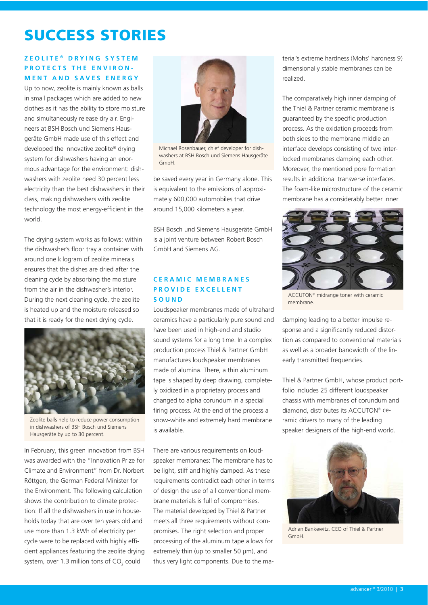# SUCCESS STORIES

### **ZEOLITE ® DRYING SYSTEM PROTECTS THE ENVIRON-MENT AND SAVES ENERGY**

Up to now, zeolite is mainly known as balls in small packages which are added to new clothes as it has the ability to store moisture and simultaneously release dry air. Engineers at BSH Bosch und Siemens Hausgeräte GmbH made use of this effect and developed the innovative zeolite® drying system for dishwashers having an enormous advantage for the environment: dishwashers with zeolite need 30 percent less electricity than the best dishwashers in their class, making dishwashers with zeolite technology the most energy-efficient in the world.

The drying system works as follows: within the dishwasher's floor tray a container with around one kilogram of zeolite minerals ensures that the dishes are dried after the cleaning cycle by absorbing the moisture from the air in the dishwasher's interior. During the next cleaning cycle, the zeolite is heated up and the moisture released so that it is ready for the next drying cycle.



Zeolite balls help to reduce power consumption in dishwashers of BSH Bosch und Siemens Hausgeräte by up to 30 percent.

In February, this green innovation from BSH was awarded with the "Innovation Prize for Climate and Environment" from Dr. Norbert Röttgen, the German Federal Minister for the Environment. The following calculation shows the contribution to climate protection: If all the dishwashers in use in households today that are over ten years old and use more than 1.3 kWh of electricity per cycle were to be replaced with highly efficient appliances featuring the zeolite drying system, over 1.3 million tons of  $CO<sub>2</sub>$  could



Michael Rosenbauer, chief developer for dishwashers at BSH Bosch und Siemens Hausgeräte GmbH.

be saved every year in Germany alone. This is equivalent to the emissions of approximately 600,000 automobiles that drive around 15,000 kilometers a year.

BSH Bosch und Siemens Hausgeräte GmbH is a joint venture between Robert Bosch GmbH and Siemens AG.

### **CERAMIC MEMBRANES PROVIDE EXCELLENT SOUND**

Loudspeaker membranes made of ultrahard ceramics have a particularly pure sound and have been used in high-end and studio sound systems for a long time. In a complex production process Thiel & Partner GmbH manufactures loudspeaker membranes made of alumina. There, a thin aluminum tape is shaped by deep drawing, completely oxidized in a proprietary process and changed to alpha corundum in a special firing process. At the end of the process a snow-white and extremely hard membrane is available.

There are various requirements on loudspeaker membranes: The membrane has to be light, stiff and highly damped. As these requirements contradict each other in terms of design the use of all conventional membrane materials is full of compromises. The material developed by Thiel & Partner meets all three requirements without compromises. The right selection and proper processing of the aluminum tape allows for extremely thin (up to smaller 50 μm), and thus very light components. Due to the material's extreme hardness (Mohs' hardness 9) dimensionally stable membranes can be realized.

The comparatively high inner damping of the Thiel & Partner ceramic membrane is guaranteed by the specific production process. As the oxidation proceeds from both sides to the membrane middle an interface develops consisting of two interlocked membranes damping each other. Moreover, the mentioned pore formation results in additional transverse interfaces. The foam-like microstructure of the ceramic membrane has a considerably better inner



ACCUTON® midrange toner with ceramic membrane.

damping leading to a better impulse response and a significantly reduced distortion as compared to conventional materials as well as a broader bandwidth of the linearly transmitted frequencies.

Thiel & Partner GmbH, whose product portfolio includes 25 different loudspeaker chassis with membranes of corundum and diamond, distributes its ACCUTON® ceramic drivers to many of the leading speaker designers of the high-end world.



Adrian Bankewitz, CEO of Thiel & Partner GmbH.